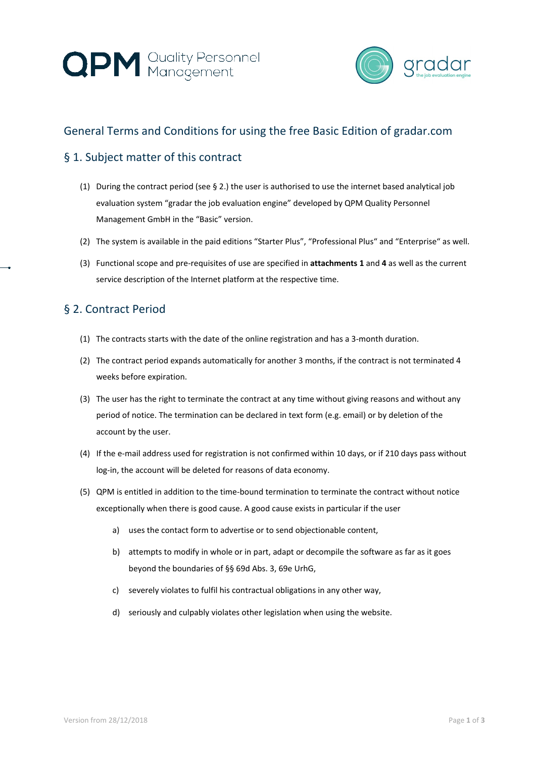



# General Terms and Conditions for using the free Basic Edition of gradar.com

### § 1. Subject matter of this contract

- (1) During the contract period (see § 2.) the user is authorised to use the internet based analytical job evaluation system "gradar the job evaluation engine" developed by QPM Quality Personnel Management GmbH in the "Basic" version.
- (2) The system is available in the paid editions "Starter Plus", "Professional Plus" and "Enterprise" as well.
- (3) Functional scope and pre-requisites of use are specified in **attachments 1** and **4** as well as the current service description of the Internet platform at the respective time.

#### § 2. Contract Period

- (1) The contracts starts with the date of the online registration and has a 3-month duration.
- (2) The contract period expands automatically for another 3 months, if the contract is not terminated 4 weeks before expiration.
- (3) The user has the right to terminate the contract at any time without giving reasons and without any period of notice. The termination can be declared in text form (e.g. email) or by deletion of the account by the user.
- (4) If the e-mail address used for registration is not confirmed within 10 days, or if 210 days pass without log-in, the account will be deleted for reasons of data economy.
- (5) QPM is entitled in addition to the time-bound termination to terminate the contract without notice exceptionally when there is good cause. A good cause exists in particular if the user
	- a) uses the contact form to advertise or to send objectionable content,
	- b) attempts to modify in whole or in part, adapt or decompile the software as far as it goes beyond the boundaries of §§ 69d Abs. 3, 69e UrhG,
	- c) severely violates to fulfil his contractual obligations in any other way,
	- d) seriously and culpably violates other legislation when using the website.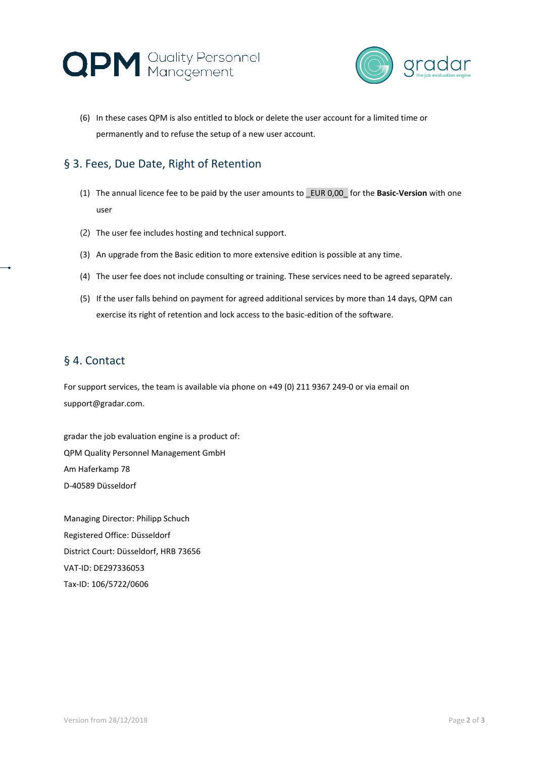



(6) In these cases QPM is also entitled to block or delete the user account for a limited time or permanently and to refuse the setup of a new user account.

## § 3. Fees, Due Date, Right of Retention

- (1) The annual licence fee to be paid by the user amounts to \_EUR 0,00\_ for the **Basic-Version** with one user
- (2) The user fee includes hosting and technical support.
- (3) An upgrade from the Basic edition to more extensive edition is possible at any time.
- (4) The user fee does not include consulting or training. These services need to be agreed separately.
- (5) If the user falls behind on payment for agreed additional services by more than 14 days, QPM can exercise its right of retention and lock access to the basic-edition of the software.

#### § 4. Contact

For support services, the team is available via phone on +49 (0) 211 9367 249-0 or via email on support@gradar.com.

gradar the job evaluation engine is a product of: QPM Quality Personnel Management GmbH Am Haferkamp 78 D-40589 Düsseldorf

Managing Director: Philipp Schuch Registered Office: Düsseldorf District Court: Düsseldorf, HRB 73656 VAT-ID: DE297336053 Tax-ID: 106/5722/0606